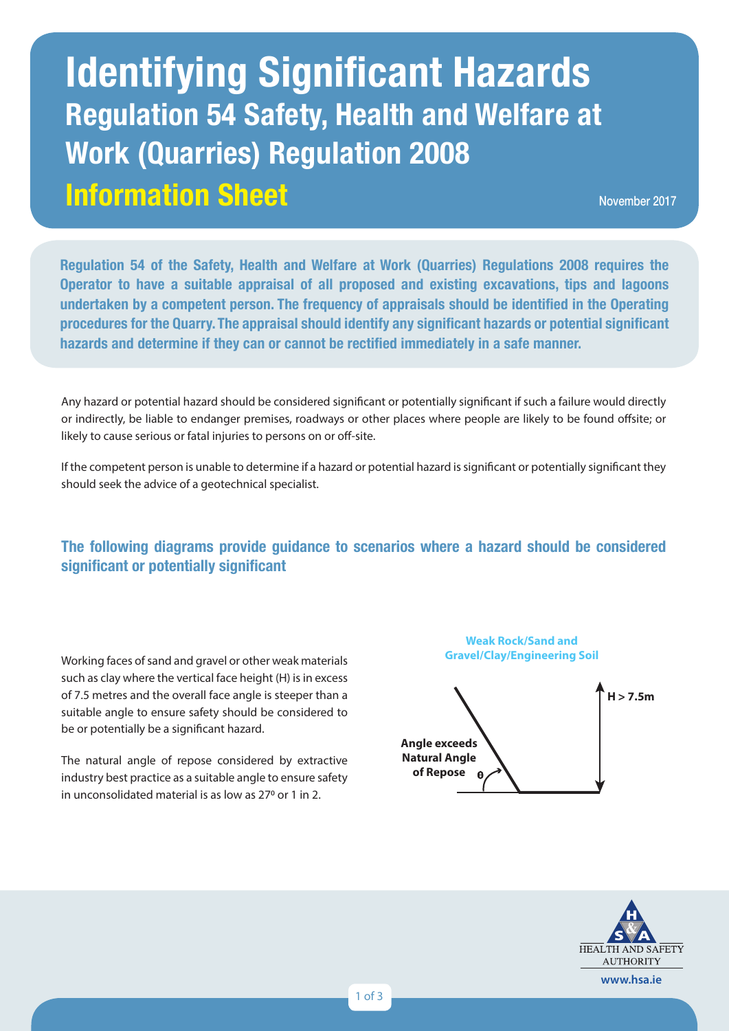# **Information Sheet Identifying Significant Hazards Regulation 54 Safety, Health and Welfare at Work (Quarries) Regulation 2008**

November 2017

**Regulation 54 of the Safety, Health and Welfare at Work (Quarries) Regulations 2008 requires the Operator to have a suitable appraisal of all proposed and existing excavations, tips and lagoons undertaken by a competent person. The frequency of appraisals should be identified in the Operating procedures for the Quarry. The appraisal should identify any significant hazards or potential significant hazards and determine if they can or cannot be rectified immediately in a safe manner.** 

Any hazard or potential hazard should be considered significant or potentially significant if such a failure would directly or indirectly, be liable to endanger premises, roadways or other places where people are likely to be found offsite; or likely to cause serious or fatal injuries to persons on or off-site.

If the competent person is unable to determine if a hazard or potential hazard is significant or potentially significant they should seek the advice of a geotechnical specialist.

## **The following diagrams provide guidance to scenarios where a hazard should be considered significant or potentially significant**

Working faces of sand and gravel or other weak materials such as clay where the vertical face height (H) is in excess of 7.5 metres and the overall face angle is steeper than a suitable angle to ensure safety should be considered to be or potentially be a significant hazard.

The natural angle of repose considered by extractive industry best practice as a suitable angle to ensure safety in unconsolidated material is as low as 27<sup>0</sup> or 1 in 2.

**Weak Rock/Sand and Gravel/Clay/Engineering Soil**



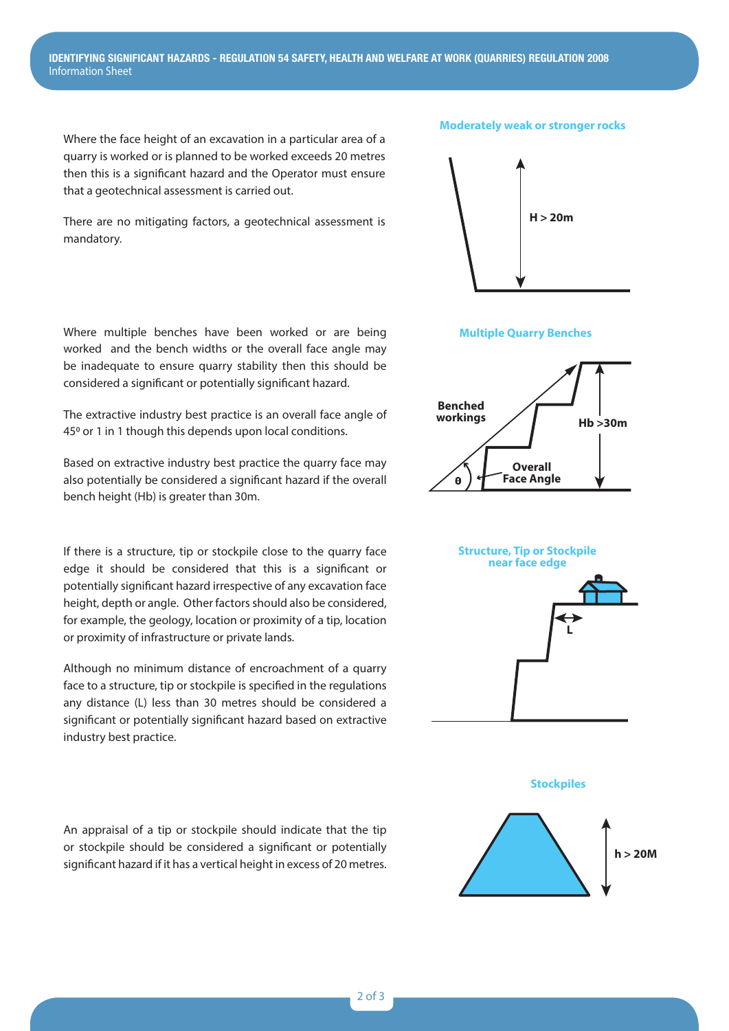Where the face height of an excavation in a particular area of a quarry is worked or is planned to be worked exceeds 20 metres then this is a significant hazard and the Operator must ensure that a geotechnical assessment is carried out.

There are no mitigating factors, a geotechnical assessment is mandatory.

Where multiple benches have been worked or are being worked and the bench widths or the overall face angle may be inadequate to ensure quarry stability then this should be considered a significant or potentially significant hazard.

The extractive industry best practice is an overall face angle of 45<sup>o</sup> or 1 in 1 though this depends upon local conditions.

Based on extractive industry best practice the quarry face may also potentially be considered a significant hazard if the overall bench height (Hb) is greater than 30m.

If there is a structure, tip or stockpile close to the quarry face edge it should be considered that this is a significant or potentially significant hazard irrespective of any excavation face height, depth or angle. Other factors should also be considered, for example, the geology, location or proximity of a tip, location or proximity of infrastructure or private lands.

Although no minimum distance of encroachment of a quarry face to a structure, tip or stockpile is specified in the regulations any distance (L) less than 30 metres should be considered a significant or potentially significant hazard based on extractive industry best practice.

An appraisal of a tip or stockpile should indicate that the tip or stockpile should be considered a significant or potentially significant hazard if it has a vertical height in excess of 20 metres.



**Angle exceeds**



# **Multiple Quarry Benches Multiple Quarry Benches Multiple Quarry Benches**





**Stockpiles**



**Tip/Stockpile B**